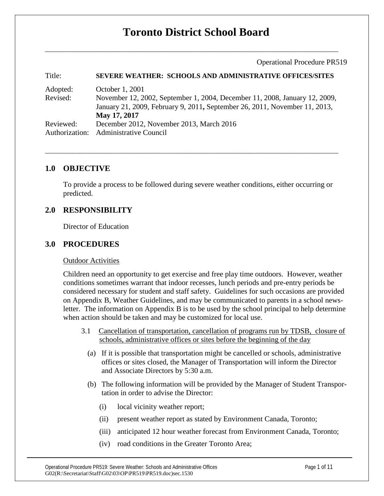# **Toronto District School Board**

Operational Procedure PR519

| Title:    | <b>SEVERE WEATHER: SCHOOLS AND ADMINISTRATIVE OFFICES/SITES</b>                            |
|-----------|--------------------------------------------------------------------------------------------|
| Adopted:  | October 1, 2001                                                                            |
| Revised:  | November 12, 2002, September 1, 2004, December 11, 2008, January 12, 2009,                 |
|           | January 21, 2009, February 9, 2011, September 26, 2011, November 11, 2013,<br>May 17, 2017 |
| Reviewed: | December 2012, November 2013, March 2016                                                   |
|           | Authorization: Administrative Council                                                      |
|           |                                                                                            |

# **1.0 OBJECTIVE**

To provide a process to be followed during severe weather conditions, either occurring or predicted.

# **2.0 RESPONSIBILITY**

Director of Education

## **3.0 PROCEDURES**

#### Outdoor Activities

Children need an opportunity to get exercise and free play time outdoors. However, weather conditions sometimes warrant that indoor recesses, lunch periods and pre-entry periods be considered necessary for student and staff safety. Guidelines for such occasions are provided on Appendix B, Weather Guidelines, and may be communicated to parents in a school newsletter. The information on Appendix B is to be used by the school principal to help determine when action should be taken and may be customized for local use.

- 3.1 Cancellation of transportation, cancellation of programs run by TDSB, closure of schools, administrative offices or sites before the beginning of the day
	- (a) If it is possible that transportation might be cancelled or schools, administrative offices or sites closed, the Manager of Transportation will inform the Director and Associate Directors by 5:30 a.m.
	- (b) The following information will be provided by the Manager of Student Transportation in order to advise the Director:
		- (i) local vicinity weather report;
		- (ii) present weather report as stated by Environment Canada, Toronto;
		- (iii) anticipated 12 hour weather forecast from Environment Canada, Toronto;
		- (iv) road conditions in the Greater Toronto Area;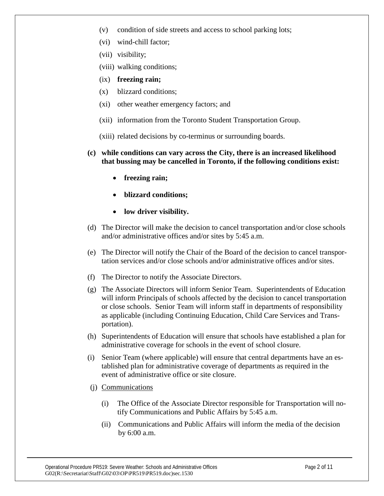- (v) condition of side streets and access to school parking lots;
- (vi) wind-chill factor;
- (vii) visibility;
- (viii) walking conditions;
- (ix) **freezing rain;**
- (x) blizzard conditions;
- (xi) other weather emergency factors; and
- (xii) information from the Toronto Student Transportation Group.
- (xiii) related decisions by co-terminus or surrounding boards.
- **(c) while conditions can vary across the City, there is an increased likelihood that bussing may be cancelled in Toronto, if the following conditions exist:**
	- **freezing rain;**
	- **blizzard conditions;**
	- **low driver visibility.**
- (d) The Director will make the decision to cancel transportation and/or close schools and/or administrative offices and/or sites by 5:45 a.m.
- (e) The Director will notify the Chair of the Board of the decision to cancel transportation services and/or close schools and/or administrative offices and/or sites.
- (f) The Director to notify the Associate Directors.
- (g) The Associate Directors will inform Senior Team. Superintendents of Education will inform Principals of schools affected by the decision to cancel transportation or close schools. Senior Team will inform staff in departments of responsibility as applicable (including Continuing Education, Child Care Services and Transportation).
- (h) Superintendents of Education will ensure that schools have established a plan for administrative coverage for schools in the event of school closure.
- (i) Senior Team (where applicable) will ensure that central departments have an established plan for administrative coverage of departments as required in the event of administrative office or site closure.
- (j) Communications
	- (i) The Office of the Associate Director responsible for Transportation will notify Communications and Public Affairs by 5:45 a.m.
	- (ii) Communications and Public Affairs will inform the media of the decision by 6:00 a.m.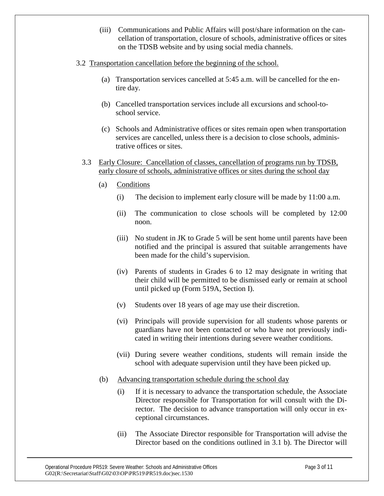(iii) Communications and Public Affairs will post/share information on the cancellation of transportation, closure of schools, administrative offices or sites on the TDSB website and by using social media channels.

#### 3.2 Transportation cancellation before the beginning of the school.

- (a) Transportation services cancelled at 5:45 a.m. will be cancelled for the entire day.
- (b) Cancelled transportation services include all excursions and school-toschool service.
- (c) Schools and Administrative offices or sites remain open when transportation services are cancelled, unless there is a decision to close schools, administrative offices or sites.
- 3.3 Early Closure: Cancellation of classes, cancellation of programs run by TDSB, early closure of schools, administrative offices or sites during the school day
	- (a) Conditions
		- (i) The decision to implement early closure will be made by 11:00 a.m.
		- (ii) The communication to close schools will be completed by 12:00 noon.
		- (iii) No student in JK to Grade 5 will be sent home until parents have been notified and the principal is assured that suitable arrangements have been made for the child's supervision.
		- (iv) Parents of students in Grades 6 to 12 may designate in writing that their child will be permitted to be dismissed early or remain at school until picked up (Form 519A, Section I).
		- (v) Students over 18 years of age may use their discretion.
		- (vi) Principals will provide supervision for all students whose parents or guardians have not been contacted or who have not previously indicated in writing their intentions during severe weather conditions.
		- (vii) During severe weather conditions, students will remain inside the school with adequate supervision until they have been picked up.
	- (b) Advancing transportation schedule during the school day
		- (i) If it is necessary to advance the transportation schedule, the Associate Director responsible for Transportation for will consult with the Director. The decision to advance transportation will only occur in exceptional circumstances.
		- (ii) The Associate Director responsible for Transportation will advise the Director based on the conditions outlined in 3.1 b). The Director will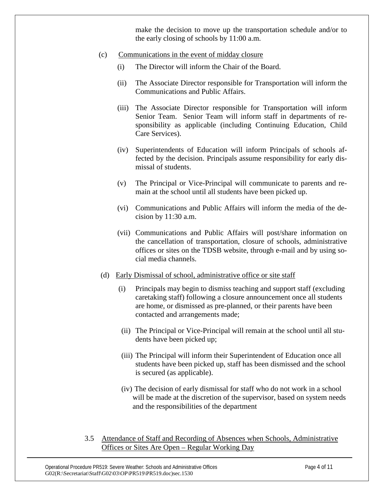make the decision to move up the transportation schedule and/or to the early closing of schools by 11:00 a.m.

- (c) Communications in the event of midday closure
	- (i) The Director will inform the Chair of the Board.
	- (ii) The Associate Director responsible for Transportation will inform the Communications and Public Affairs.
	- (iii) The Associate Director responsible for Transportation will inform Senior Team. Senior Team will inform staff in departments of responsibility as applicable (including Continuing Education, Child Care Services).
	- (iv) Superintendents of Education will inform Principals of schools affected by the decision. Principals assume responsibility for early dismissal of students.
	- (v) The Principal or Vice-Principal will communicate to parents and remain at the school until all students have been picked up.
	- (vi) Communications and Public Affairs will inform the media of the decision by 11:30 a.m.
	- (vii) Communications and Public Affairs will post/share information on the cancellation of transportation, closure of schools, administrative offices or sites on the TDSB website, through e-mail and by using social media channels.
	- (d) Early Dismissal of school, administrative office or site staff
		- (i) Principals may begin to dismiss teaching and support staff (excluding caretaking staff) following a closure announcement once all students are home, or dismissed as pre-planned, or their parents have been contacted and arrangements made;
		- (ii) The Principal or Vice-Principal will remain at the school until all students have been picked up;
		- (iii) The Principal will inform their Superintendent of Education once all students have been picked up, staff has been dismissed and the school is secured (as applicable).
		- (iv) The decision of early dismissal for staff who do not work in a school will be made at the discretion of the supervisor, based on system needs and the responsibilities of the department
- 3.5 Attendance of Staff and Recording of Absences when Schools, Administrative Offices or Sites Are Open – Regular Working Day

Operational Procedure PR519: Severe Weather: Schools and Administrative Offices Page 4 of 11 G02(R:\Secretariat\Staff\G02\03\OP\PR519\PR519.doc)sec.1530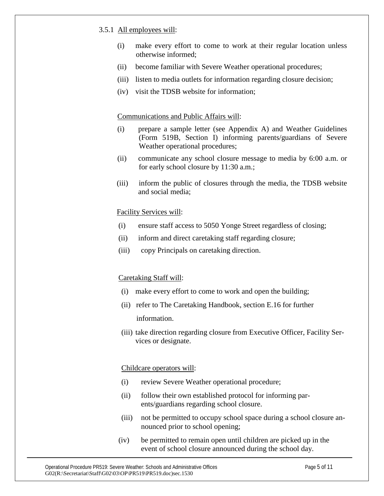#### 3.5.1 All employees will:

- (i) make every effort to come to work at their regular location unless otherwise informed;
- (ii) become familiar with Severe Weather operational procedures;
- (iii) listen to media outlets for information regarding closure decision;
- (iv) visit the TDSB website for information;

#### Communications and Public Affairs will:

- (i) prepare a sample letter (see Appendix A) and Weather Guidelines (Form 519B, Section I) informing parents/guardians of Severe Weather operational procedures;
- (ii) communicate any school closure message to media by 6:00 a.m. or for early school closure by 11:30 a.m.;
- (iii) inform the public of closures through the media, the TDSB website and social media;

#### Facility Services will:

- (i) ensure staff access to 5050 Yonge Street regardless of closing;
- (ii) inform and direct caretaking staff regarding closure;
- (iii) copy Principals on caretaking direction.

#### Caretaking Staff will:

- (i) make every effort to come to work and open the building;
- (ii) refer to The Caretaking Handbook, section E.16 for further information.
- (iii) take direction regarding closure from Executive Officer, Facility Services or designate.

#### Childcare operators will:

- (i) review Severe Weather operational procedure;
- (ii) follow their own established protocol for informing parents/guardians regarding school closure.
- (iii) not be permitted to occupy school space during a school closure announced prior to school opening;
- (iv) be permitted to remain open until children are picked up in the event of school closure announced during the school day.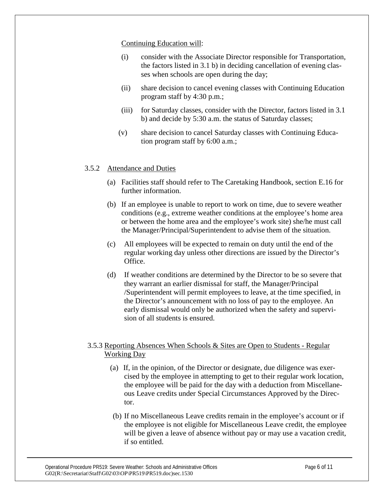### Continuing Education will:

- (i) consider with the Associate Director responsible for Transportation, the factors listed in 3.1 b) in deciding cancellation of evening classes when schools are open during the day;
- (ii) share decision to cancel evening classes with Continuing Education program staff by 4:30 p.m.;
- (iii) for Saturday classes, consider with the Director, factors listed in 3.1 b) and decide by 5:30 a.m. the status of Saturday classes;
- (v) share decision to cancel Saturday classes with Continuing Education program staff by 6:00 a.m.;

## 3.5.2 Attendance and Duties

- (a) Facilities staff should refer to The Caretaking Handbook, section E.16 for further information.
- (b) If an employee is unable to report to work on time, due to severe weather conditions (e.g., extreme weather conditions at the employee's home area or between the home area and the employee's work site) she/he must call the Manager/Principal/Superintendent to advise them of the situation.
- (c) All employees will be expected to remain on duty until the end of the regular working day unless other directions are issued by the Director's Office.
- (d) If weather conditions are determined by the Director to be so severe that they warrant an earlier dismissal for staff, the Manager/Principal /Superintendent will permit employees to leave, at the time specified, in the Director's announcement with no loss of pay to the employee. An early dismissal would only be authorized when the safety and supervision of all students is ensured.

# 3.5.3 Reporting Absences When Schools & Sites are Open to Students - Regular Working Day

- (a) If, in the opinion, of the Director or designate, due diligence was exercised by the employee in attempting to get to their regular work location, the employee will be paid for the day with a deduction from Miscellaneous Leave credits under Special Circumstances Approved by the Director.
- (b) If no Miscellaneous Leave credits remain in the employee's account or if the employee is not eligible for Miscellaneous Leave credit, the employee will be given a leave of absence without pay or may use a vacation credit, if so entitled.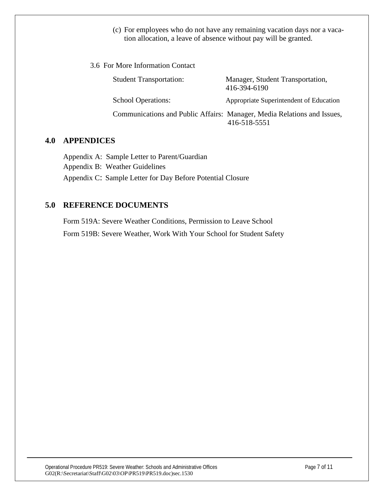(c) For employees who do not have any remaining vacation days nor a vacation allocation, a leave of absence without pay will be granted.

| 3.6 For More Information Contact |                                |                                                                                         |  |
|----------------------------------|--------------------------------|-----------------------------------------------------------------------------------------|--|
|                                  | <b>Student Transportation:</b> | Manager, Student Transportation,<br>416-394-6190                                        |  |
|                                  | <b>School Operations:</b>      | Appropriate Superintendent of Education                                                 |  |
|                                  |                                | Communications and Public Affairs: Manager, Media Relations and Issues,<br>416-518-5551 |  |

# **4.0 APPENDICES**

Appendix A: Sample Letter to Parent/Guardian Appendix B: Weather Guidelines Appendix C: Sample Letter for Day Before Potential Closure

# **5.0 REFERENCE DOCUMENTS**

Form 519A: Severe Weather Conditions, Permission to Leave School Form 519B: Severe Weather, Work With Your School for Student Safety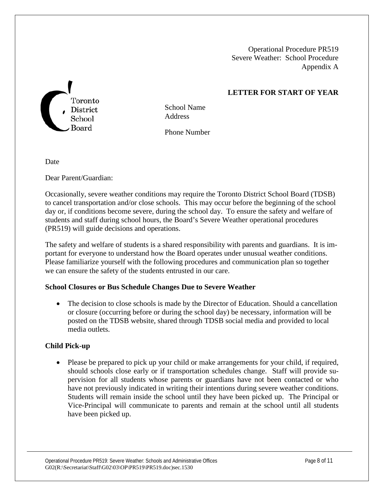Operational Procedure PR519 Severe Weather: School Procedure Appendix A

# **LETTER FOR START OF YEAR**



School Name **Address** 

Phone Number

Date

Dear Parent/Guardian:

Occasionally, severe weather conditions may require the Toronto District School Board (TDSB) to cancel transportation and/or close schools. This may occur before the beginning of the school day or, if conditions become severe, during the school day. To ensure the safety and welfare of students and staff during school hours, the Board's Severe Weather operational procedures (PR519) will guide decisions and operations.

The safety and welfare of students is a shared responsibility with parents and guardians. It is important for everyone to understand how the Board operates under unusual weather conditions. Please familiarize yourself with the following procedures and communication plan so together we can ensure the safety of the students entrusted in our care.

#### **School Closures or Bus Schedule Changes Due to Severe Weather**

• The decision to close schools is made by the Director of Education. Should a cancellation or closure (occurring before or during the school day) be necessary, information will be posted on the TDSB website, shared through TDSB social media and provided to local media outlets.

## **Child Pick-up**

• Please be prepared to pick up your child or make arrangements for your child, if required, should schools close early or if transportation schedules change. Staff will provide supervision for all students whose parents or guardians have not been contacted or who have not previously indicated in writing their intentions during severe weather conditions. Students will remain inside the school until they have been picked up. The Principal or Vice-Principal will communicate to parents and remain at the school until all students have been picked up.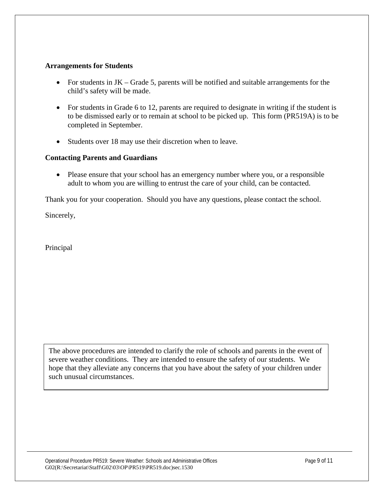#### **Arrangements for Students**

- For students in JK Grade 5, parents will be notified and suitable arrangements for the child's safety will be made.
- For students in Grade 6 to 12, parents are required to designate in writing if the student is to be dismissed early or to remain at school to be picked up. This form (PR519A) is to be completed in September.
- Students over 18 may use their discretion when to leave.

#### **Contacting Parents and Guardians**

• Please ensure that your school has an emergency number where you, or a responsible adult to whom you are willing to entrust the care of your child, can be contacted.

Thank you for your cooperation. Should you have any questions, please contact the school.

Sincerely,

Principal

The above procedures are intended to clarify the role of schools and parents in the event of severe weather conditions. They are intended to ensure the safety of our students. We hope that they alleviate any concerns that you have about the safety of your children under such unusual circumstances.

Operational Procedure PR519: Severe Weather: Schools and Administrative Offices Page 9 of 11 G02(R:\Secretariat\Staff\G02\03\OP\PR519\PR519.doc)sec.1530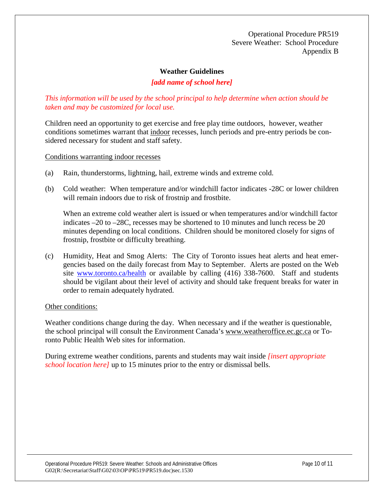Operational Procedure PR519 Severe Weather: School Procedure Appendix B

#### **Weather Guidelines**

## *[add name of school here]*

### *This information will be used by the school principal to help determine when action should be taken and may be customized for local use.*

Children need an opportunity to get exercise and free play time outdoors, however, weather conditions sometimes warrant that indoor recesses, lunch periods and pre-entry periods be considered necessary for student and staff safety.

Conditions warranting indoor recesses

- (a) Rain, thunderstorms, lightning, hail, extreme winds and extreme cold.
- (b) Cold weather: When temperature and/or windchill factor indicates -28C or lower children will remain indoors due to risk of frostnip and frostbite.

When an extreme cold weather alert is issued or when temperatures and/or windchill factor indicates –20 to –28C, recesses may be shortened to 10 minutes and lunch recess be 20 minutes depending on local conditions. Children should be monitored closely for signs of frostnip, frostbite or difficulty breathing.

(c) Humidity, Heat and Smog Alerts: The City of Toronto issues heat alerts and heat emergencies based on the daily forecast from May to September. Alerts are posted on the Web site [www.toronto.ca/health](http://www.toronto.ca/health) or available by calling (416) 338-7600. Staff and students should be vigilant about their level of activity and should take frequent breaks for water in order to remain adequately hydrated.

#### Other conditions:

Weather conditions change during the day. When necessary and if the weather is questionable, the school principal will consult the Environment Canada's www.weatheroffice.ec.gc.ca or Toronto Public Health Web sites for information.

During extreme weather conditions, parents and students may wait inside *[insert appropriate school location here]* up to 15 minutes prior to the entry or dismissal bells.